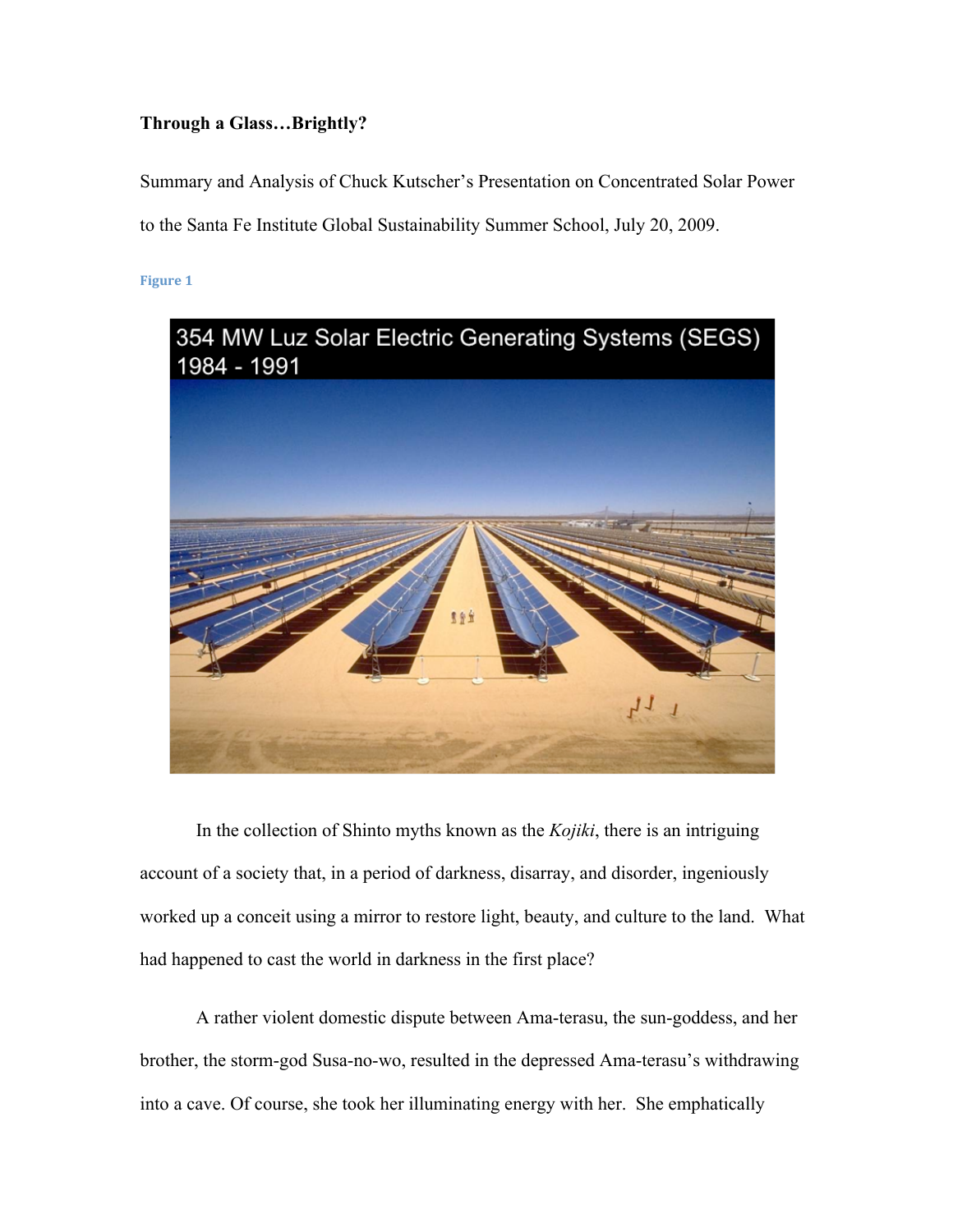# **Through a Glass…Brightly?**

Summary and Analysis of Chuck Kutscher's Presentation on Concentrated Solar Power to the Santa Fe Institute Global Sustainability Summer School, July 20, 2009.

**Figure
1**



In the collection of Shinto myths known as the *Kojiki*, there is an intriguing account of a society that, in a period of darkness, disarray, and disorder, ingeniously worked up a conceit using a mirror to restore light, beauty, and culture to the land. What had happened to cast the world in darkness in the first place?

A rather violent domestic dispute between Ama-terasu, the sun-goddess, and her brother, the storm-god Susa-no-wo, resulted in the depressed Ama-terasu's withdrawing into a cave. Of course, she took her illuminating energy with her. She emphatically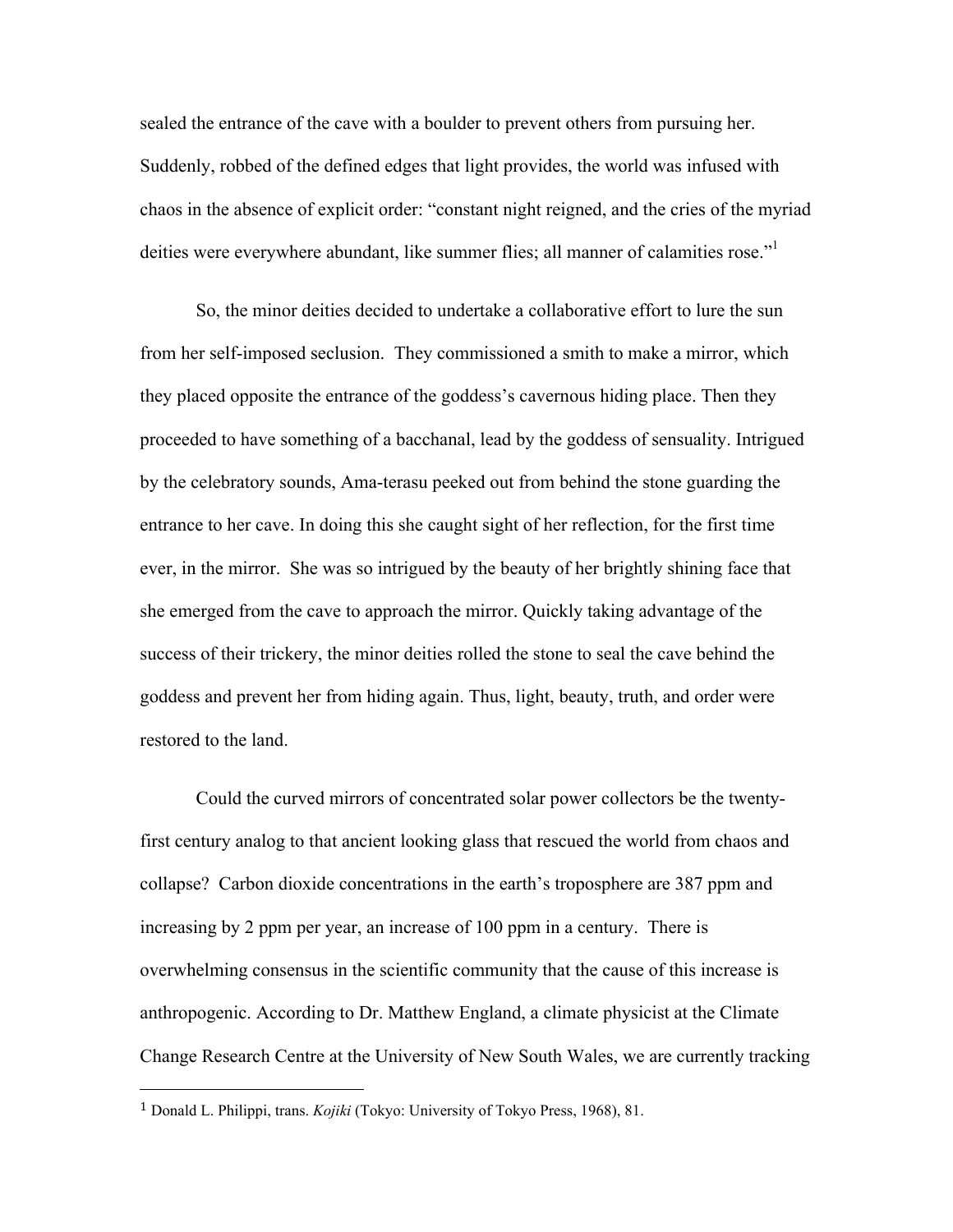sealed the entrance of the cave with a boulder to prevent others from pursuing her. Suddenly, robbed of the defined edges that light provides, the world was infused with chaos in the absence of explicit order: "constant night reigned, and the cries of the myriad deities were everywhere abundant, like summer flies; all manner of calamities rose."<sup>1</sup>

So, the minor deities decided to undertake a collaborative effort to lure the sun from her self-imposed seclusion. They commissioned a smith to make a mirror, which they placed opposite the entrance of the goddess's cavernous hiding place. Then they proceeded to have something of a bacchanal, lead by the goddess of sensuality. Intrigued by the celebratory sounds, Ama-terasu peeked out from behind the stone guarding the entrance to her cave. In doing this she caught sight of her reflection, for the first time ever, in the mirror. She was so intrigued by the beauty of her brightly shining face that she emerged from the cave to approach the mirror. Quickly taking advantage of the success of their trickery, the minor deities rolled the stone to seal the cave behind the goddess and prevent her from hiding again. Thus, light, beauty, truth, and order were restored to the land.

Could the curved mirrors of concentrated solar power collectors be the twentyfirst century analog to that ancient looking glass that rescued the world from chaos and collapse? Carbon dioxide concentrations in the earth's troposphere are 387 ppm and increasing by 2 ppm per year, an increase of 100 ppm in a century. There is overwhelming consensus in the scientific community that the cause of this increase is anthropogenic. According to Dr. Matthew England, a climate physicist at the Climate Change Research Centre at the University of New South Wales, we are currently tracking

<sup>1</sup> Donald L. Philippi, trans. *Kojiki* (Tokyo: University of Tokyo Press, 1968), 81.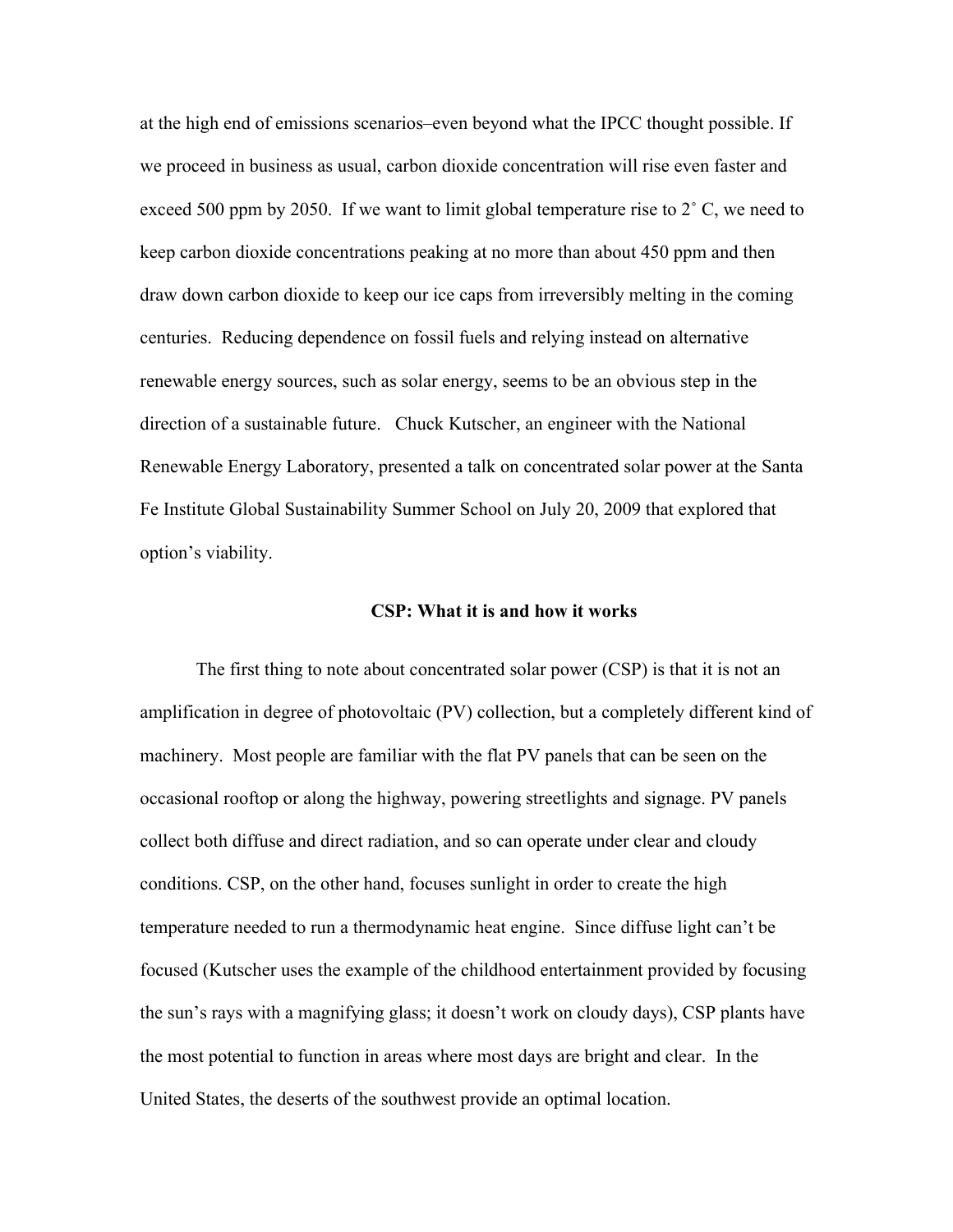at the high end of emissions scenarios–even beyond what the IPCC thought possible. If we proceed in business as usual, carbon dioxide concentration will rise even faster and exceed 500 ppm by 2050. If we want to limit global temperature rise to 2° C, we need to keep carbon dioxide concentrations peaking at no more than about 450 ppm and then draw down carbon dioxide to keep our ice caps from irreversibly melting in the coming centuries. Reducing dependence on fossil fuels and relying instead on alternative renewable energy sources, such as solar energy, seems to be an obvious step in the direction of a sustainable future. Chuck Kutscher, an engineer with the National Renewable Energy Laboratory, presented a talk on concentrated solar power at the Santa Fe Institute Global Sustainability Summer School on July 20, 2009 that explored that option's viability.

#### **CSP: What it is and how it works**

The first thing to note about concentrated solar power (CSP) is that it is not an amplification in degree of photovoltaic (PV) collection, but a completely different kind of machinery. Most people are familiar with the flat PV panels that can be seen on the occasional rooftop or along the highway, powering streetlights and signage. PV panels collect both diffuse and direct radiation, and so can operate under clear and cloudy conditions. CSP, on the other hand, focuses sunlight in order to create the high temperature needed to run a thermodynamic heat engine. Since diffuse light can't be focused (Kutscher uses the example of the childhood entertainment provided by focusing the sun's rays with a magnifying glass; it doesn't work on cloudy days), CSP plants have the most potential to function in areas where most days are bright and clear. In the United States, the deserts of the southwest provide an optimal location.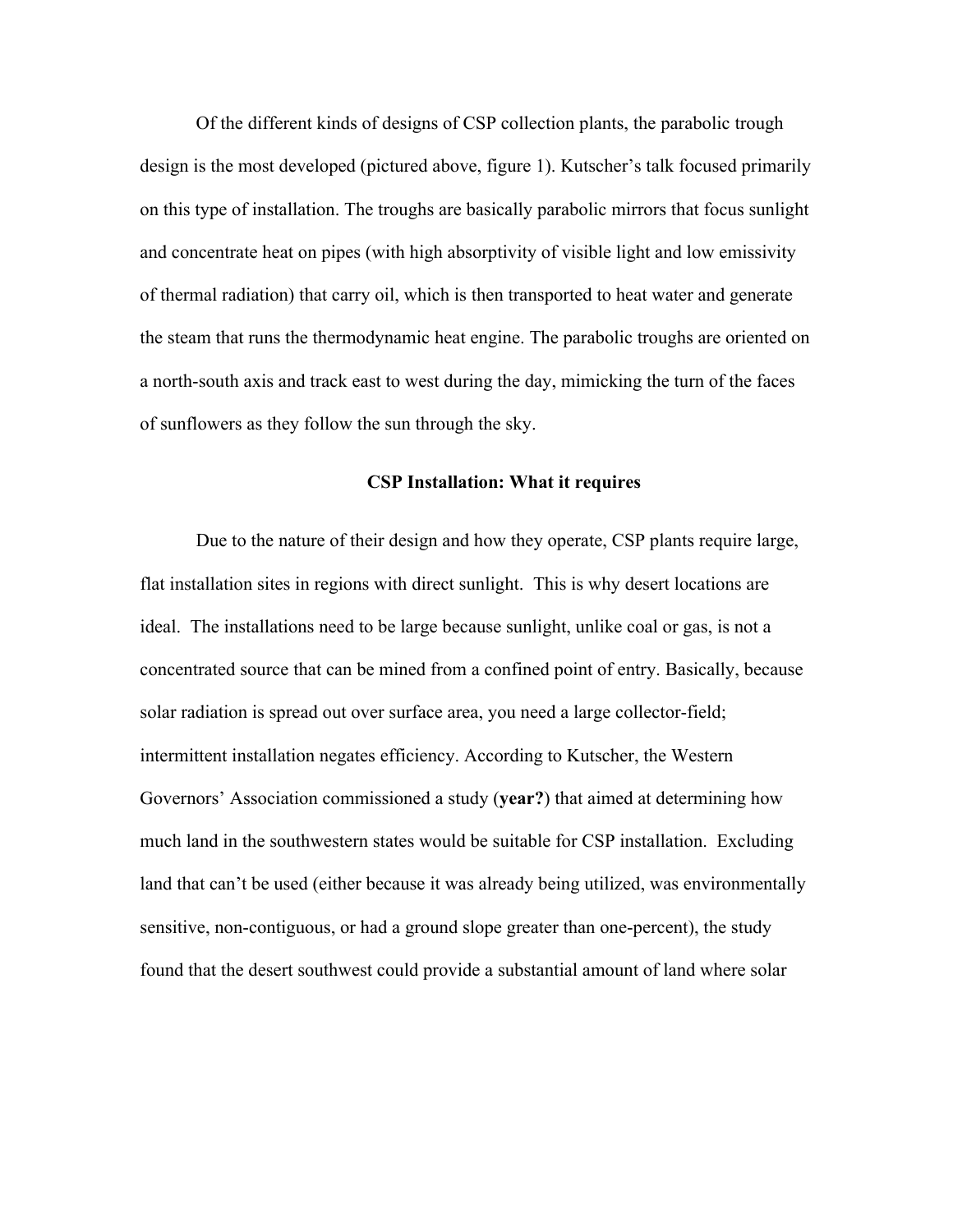Of the different kinds of designs of CSP collection plants, the parabolic trough design is the most developed (pictured above, figure 1). Kutscher's talk focused primarily on this type of installation. The troughs are basically parabolic mirrors that focus sunlight and concentrate heat on pipes (with high absorptivity of visible light and low emissivity of thermal radiation) that carry oil, which is then transported to heat water and generate the steam that runs the thermodynamic heat engine. The parabolic troughs are oriented on a north-south axis and track east to west during the day, mimicking the turn of the faces of sunflowers as they follow the sun through the sky.

#### **CSP Installation: What it requires**

Due to the nature of their design and how they operate, CSP plants require large, flat installation sites in regions with direct sunlight. This is why desert locations are ideal. The installations need to be large because sunlight, unlike coal or gas, is not a concentrated source that can be mined from a confined point of entry. Basically, because solar radiation is spread out over surface area, you need a large collector-field; intermittent installation negates efficiency. According to Kutscher, the Western Governors' Association commissioned a study (**year?**) that aimed at determining how much land in the southwestern states would be suitable for CSP installation. Excluding land that can't be used (either because it was already being utilized, was environmentally sensitive, non-contiguous, or had a ground slope greater than one-percent), the study found that the desert southwest could provide a substantial amount of land where solar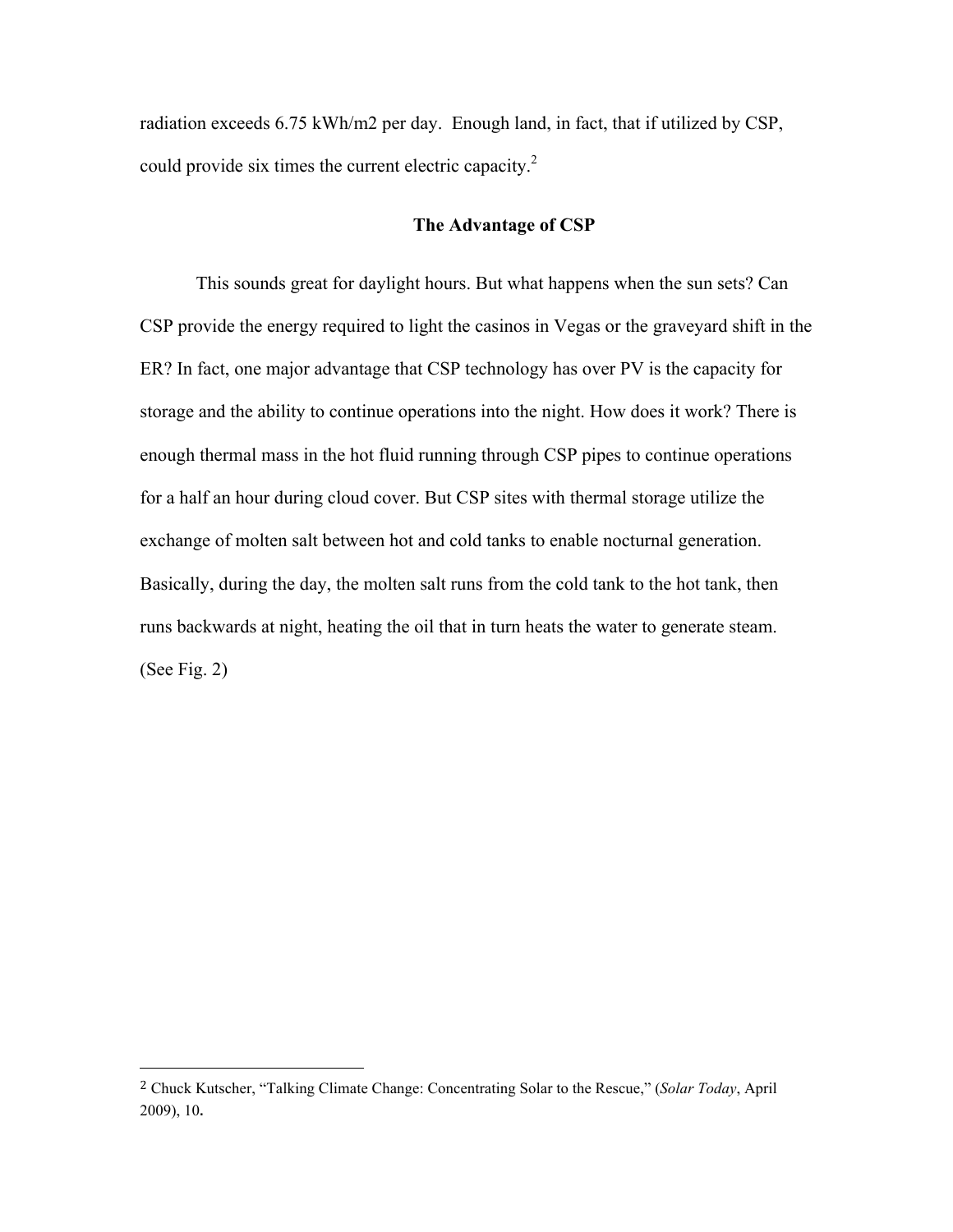radiation exceeds 6.75 kWh/m2 per day. Enough land, in fact, that if utilized by CSP, could provide six times the current electric capacity.<sup>2</sup>

## **The Advantage of CSP**

This sounds great for daylight hours. But what happens when the sun sets? Can CSP provide the energy required to light the casinos in Vegas or the graveyard shift in the ER? In fact, one major advantage that CSP technology has over PV is the capacity for storage and the ability to continue operations into the night. How does it work? There is enough thermal mass in the hot fluid running through CSP pipes to continue operations for a half an hour during cloud cover. But CSP sites with thermal storage utilize the exchange of molten salt between hot and cold tanks to enable nocturnal generation. Basically, during the day, the molten salt runs from the cold tank to the hot tank, then runs backwards at night, heating the oil that in turn heats the water to generate steam. (See Fig. 2)

<sup>2</sup> Chuck Kutscher, "Talking Climate Change: Concentrating Solar to the Rescue," (*Solar Today*, April 2009), 10.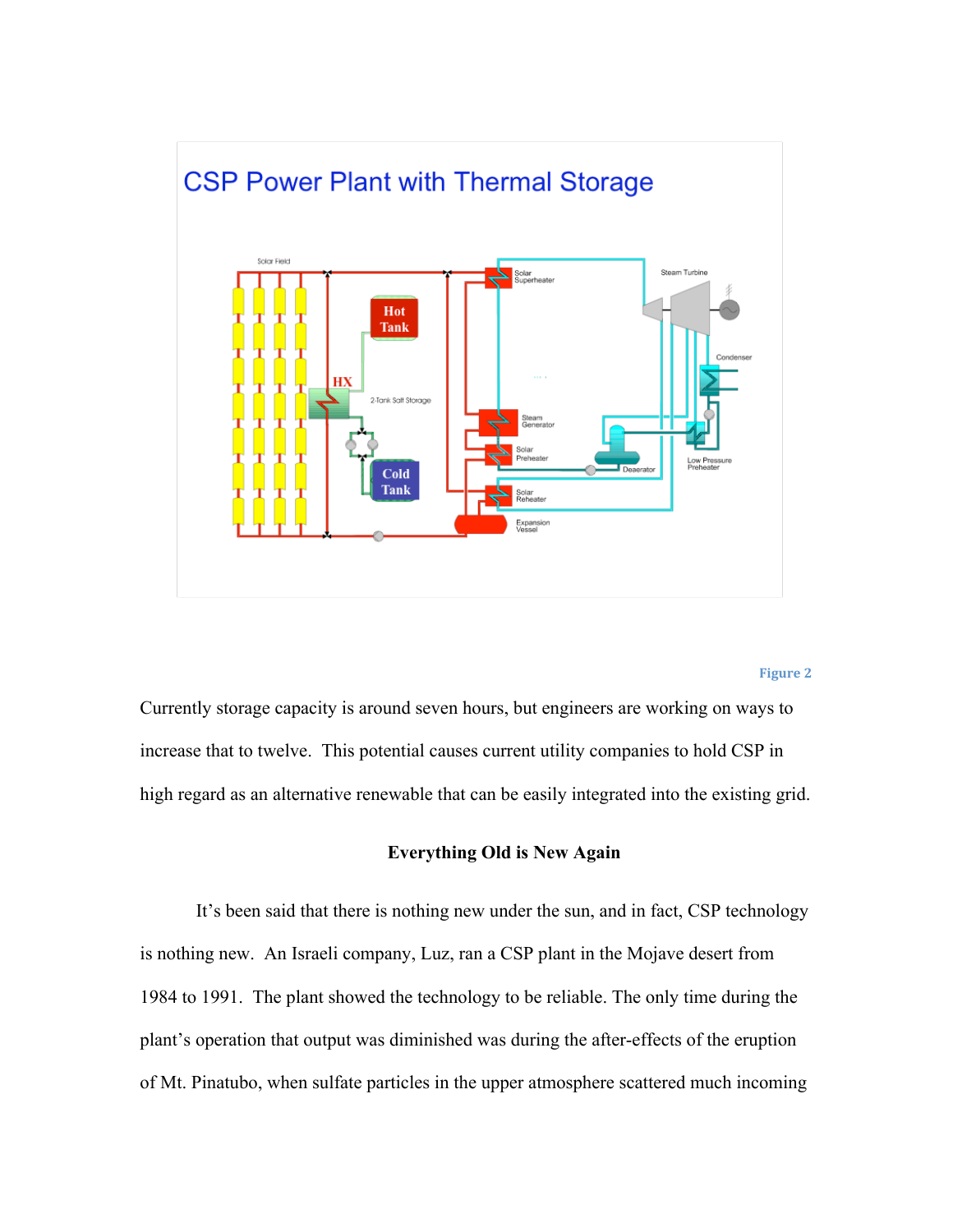

#### **Figure
2**

Currently storage capacity is around seven hours, but engineers are working on ways to increase that to twelve. This potential causes current utility companies to hold CSP in high regard as an alternative renewable that can be easily integrated into the existing grid.

#### **Everything Old is New Again**

It's been said that there is nothing new under the sun, and in fact, CSP technology is nothing new. An Israeli company, Luz, ran a CSP plant in the Mojave desert from 1984 to 1991. The plant showed the technology to be reliable. The only time during the plant's operation that output was diminished was during the after-effects of the eruption of Mt. Pinatubo, when sulfate particles in the upper atmosphere scattered much incoming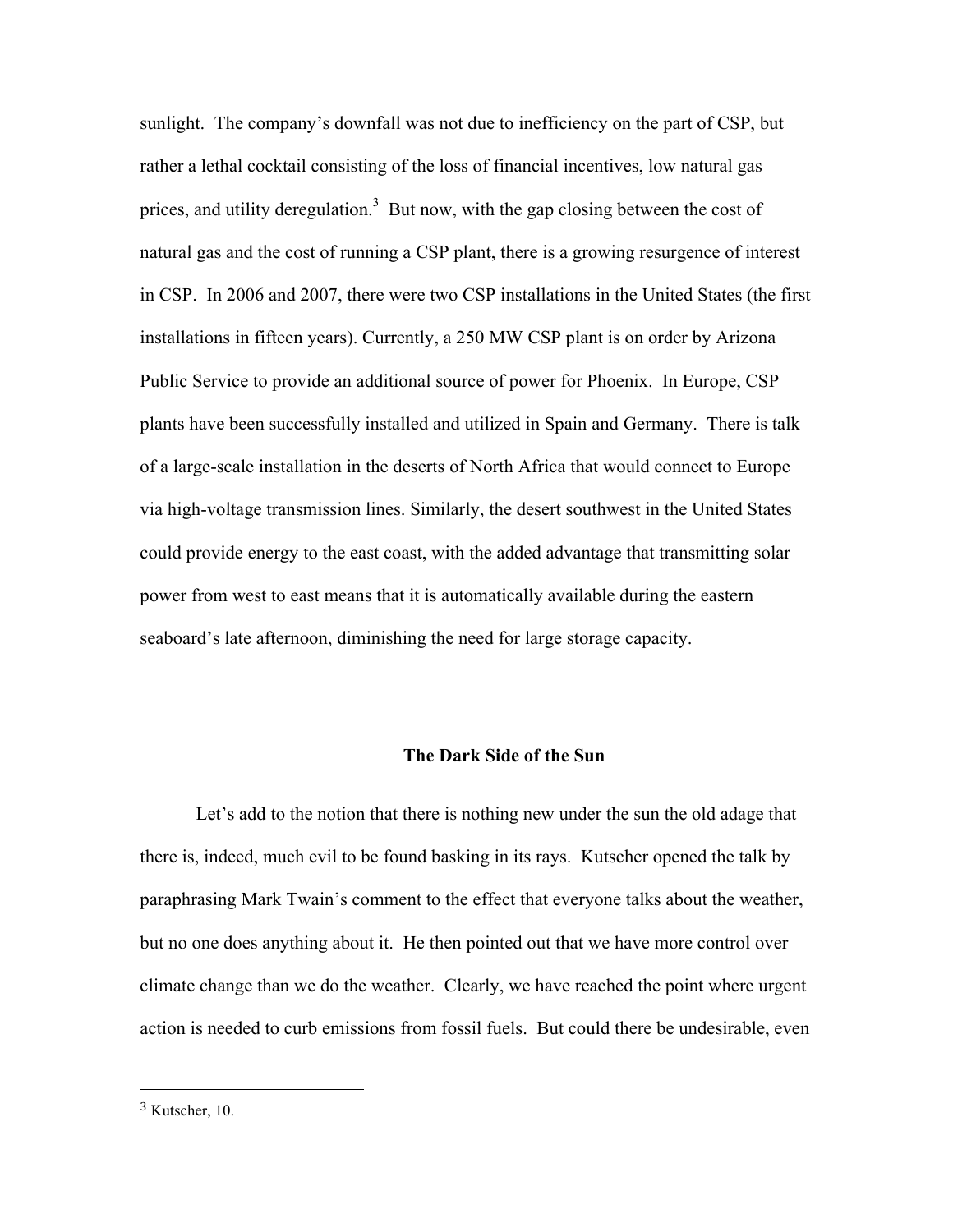sunlight. The company's downfall was not due to inefficiency on the part of CSP, but rather a lethal cocktail consisting of the loss of financial incentives, low natural gas prices, and utility deregulation.<sup>3</sup> But now, with the gap closing between the cost of natural gas and the cost of running a CSP plant, there is a growing resurgence of interest in CSP. In 2006 and 2007, there were two CSP installations in the United States (the first installations in fifteen years). Currently, a 250 MW CSP plant is on order by Arizona Public Service to provide an additional source of power for Phoenix. In Europe, CSP plants have been successfully installed and utilized in Spain and Germany. There is talk of a large-scale installation in the deserts of North Africa that would connect to Europe via high-voltage transmission lines. Similarly, the desert southwest in the United States could provide energy to the east coast, with the added advantage that transmitting solar power from west to east means that it is automatically available during the eastern seaboard's late afternoon, diminishing the need for large storage capacity.

## **The Dark Side of the Sun**

Let's add to the notion that there is nothing new under the sun the old adage that there is, indeed, much evil to be found basking in its rays. Kutscher opened the talk by paraphrasing Mark Twain's comment to the effect that everyone talks about the weather, but no one does anything about it. He then pointed out that we have more control over climate change than we do the weather. Clearly, we have reached the point where urgent action is needed to curb emissions from fossil fuels. But could there be undesirable, even

<sup>3</sup> Kutscher, 10.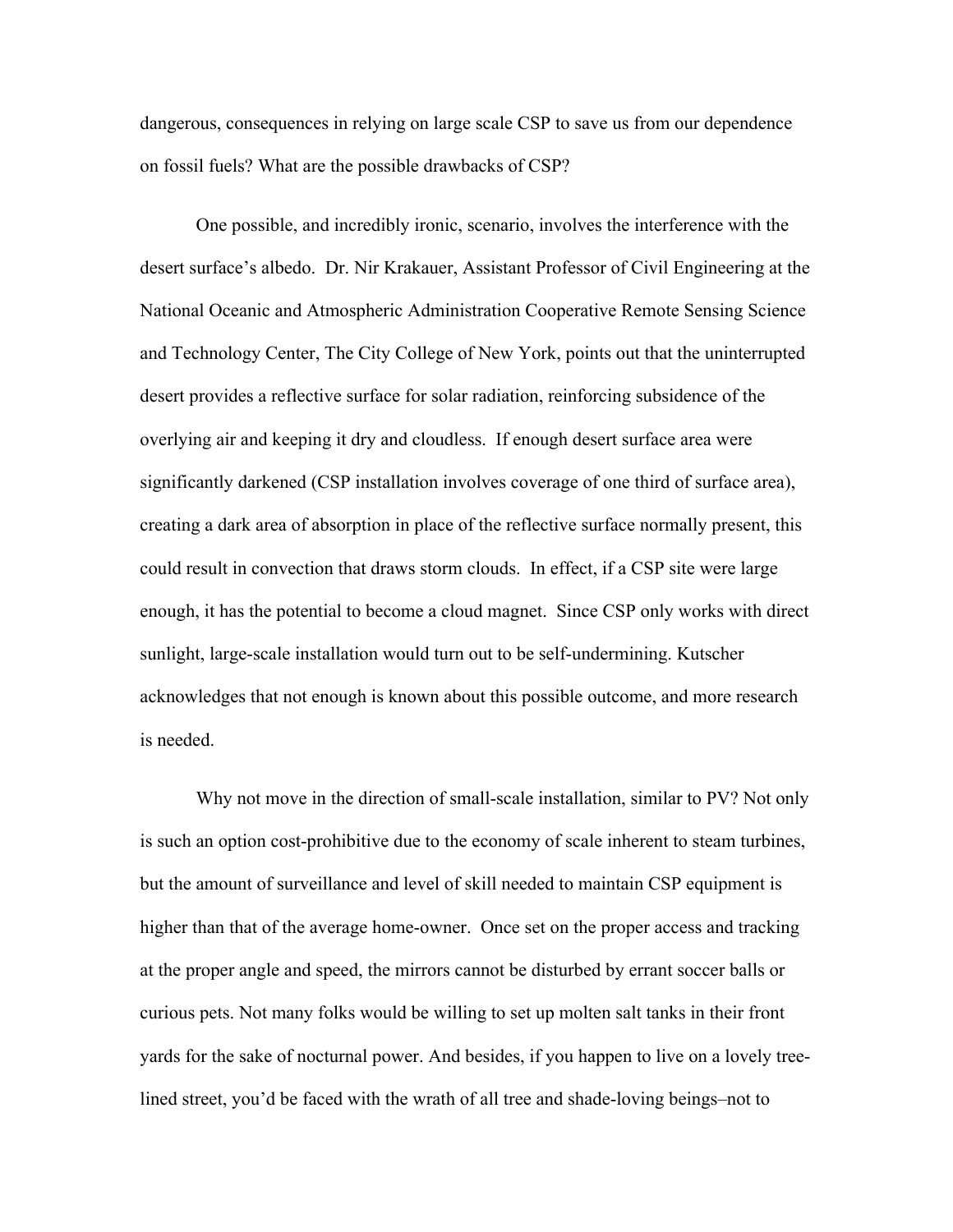dangerous, consequences in relying on large scale CSP to save us from our dependence on fossil fuels? What are the possible drawbacks of CSP?

One possible, and incredibly ironic, scenario, involves the interference with the desert surface's albedo. Dr. Nir Krakauer, Assistant Professor of Civil Engineering at the National Oceanic and Atmospheric Administration Cooperative Remote Sensing Science and Technology Center, The City College of New York, points out that the uninterrupted desert provides a reflective surface for solar radiation, reinforcing subsidence of the overlying air and keeping it dry and cloudless. If enough desert surface area were significantly darkened (CSP installation involves coverage of one third of surface area), creating a dark area of absorption in place of the reflective surface normally present, this could result in convection that draws storm clouds. In effect, if a CSP site were large enough, it has the potential to become a cloud magnet. Since CSP only works with direct sunlight, large-scale installation would turn out to be self-undermining. Kutscher acknowledges that not enough is known about this possible outcome, and more research is needed.

Why not move in the direction of small-scale installation, similar to PV? Not only is such an option cost-prohibitive due to the economy of scale inherent to steam turbines, but the amount of surveillance and level of skill needed to maintain CSP equipment is higher than that of the average home-owner. Once set on the proper access and tracking at the proper angle and speed, the mirrors cannot be disturbed by errant soccer balls or curious pets. Not many folks would be willing to set up molten salt tanks in their front yards for the sake of nocturnal power. And besides, if you happen to live on a lovely treelined street, you'd be faced with the wrath of all tree and shade-loving beings–not to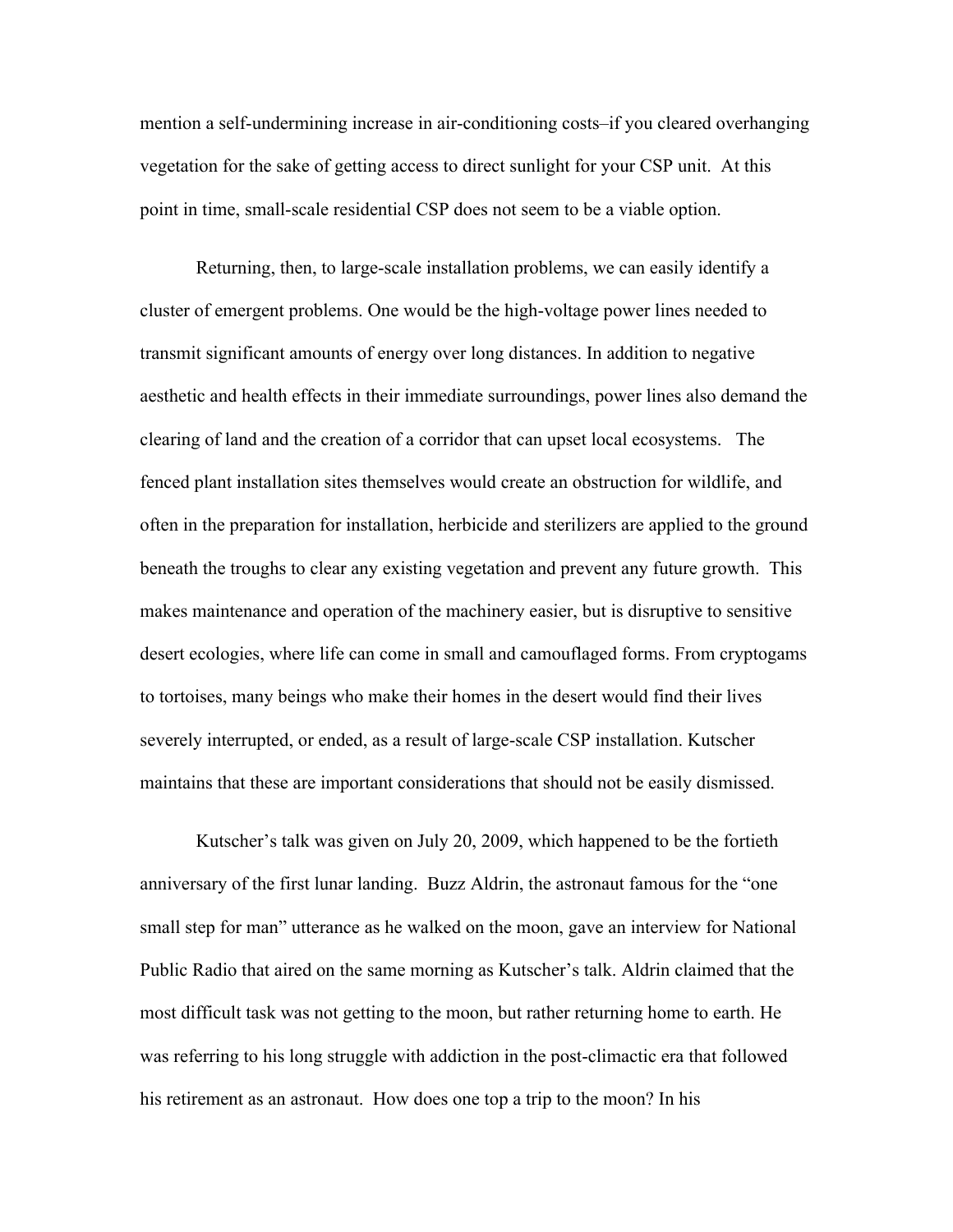mention a self-undermining increase in air-conditioning costs–if you cleared overhanging vegetation for the sake of getting access to direct sunlight for your CSP unit. At this point in time, small-scale residential CSP does not seem to be a viable option.

Returning, then, to large-scale installation problems, we can easily identify a cluster of emergent problems. One would be the high-voltage power lines needed to transmit significant amounts of energy over long distances. In addition to negative aesthetic and health effects in their immediate surroundings, power lines also demand the clearing of land and the creation of a corridor that can upset local ecosystems. The fenced plant installation sites themselves would create an obstruction for wildlife, and often in the preparation for installation, herbicide and sterilizers are applied to the ground beneath the troughs to clear any existing vegetation and prevent any future growth. This makes maintenance and operation of the machinery easier, but is disruptive to sensitive desert ecologies, where life can come in small and camouflaged forms. From cryptogams to tortoises, many beings who make their homes in the desert would find their lives severely interrupted, or ended, as a result of large-scale CSP installation. Kutscher maintains that these are important considerations that should not be easily dismissed.

Kutscher's talk was given on July 20, 2009, which happened to be the fortieth anniversary of the first lunar landing. Buzz Aldrin, the astronaut famous for the "one small step for man" utterance as he walked on the moon, gave an interview for National Public Radio that aired on the same morning as Kutscher's talk. Aldrin claimed that the most difficult task was not getting to the moon, but rather returning home to earth. He was referring to his long struggle with addiction in the post-climactic era that followed his retirement as an astronaut. How does one top a trip to the moon? In his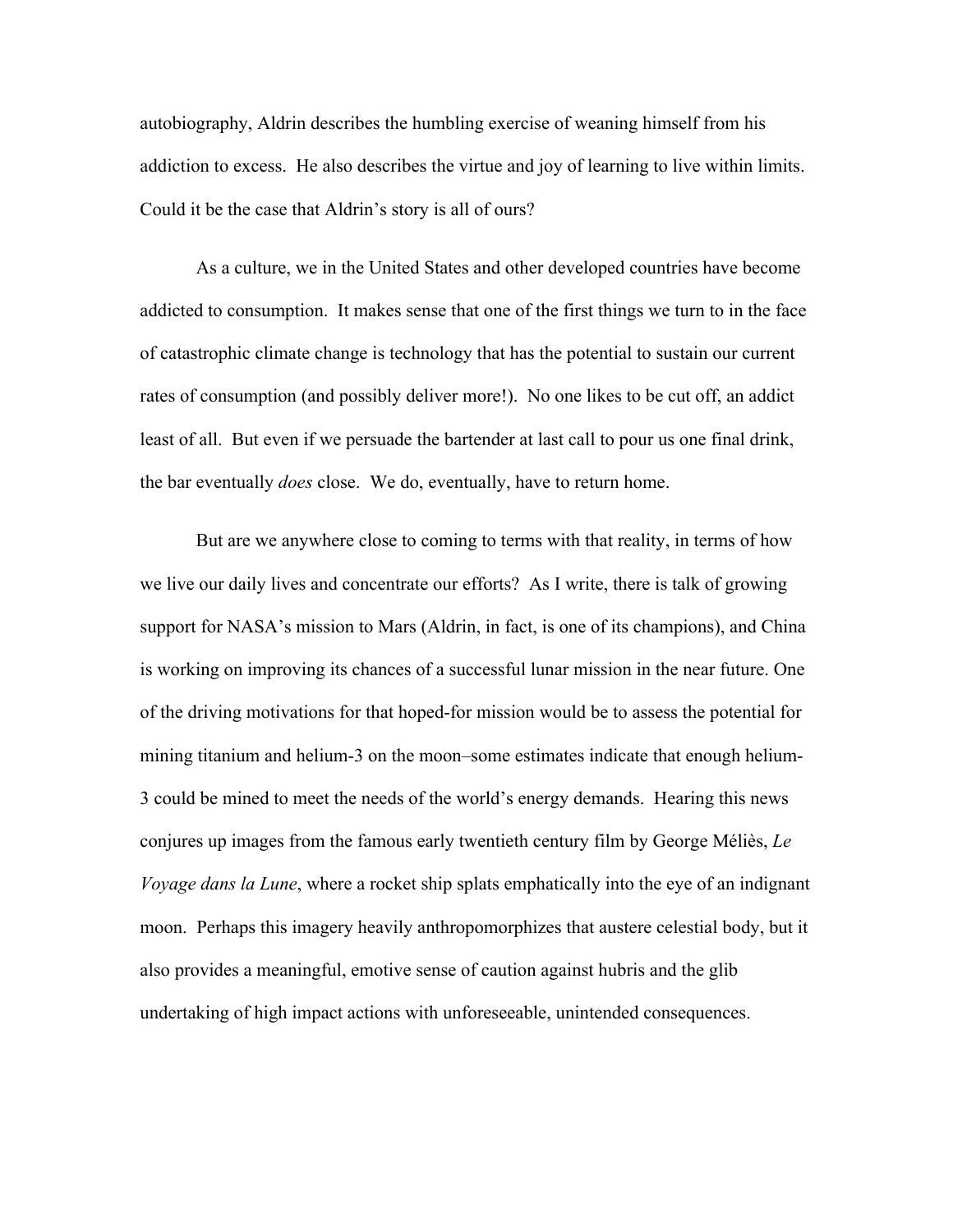autobiography, Aldrin describes the humbling exercise of weaning himself from his addiction to excess. He also describes the virtue and joy of learning to live within limits. Could it be the case that Aldrin's story is all of ours?

As a culture, we in the United States and other developed countries have become addicted to consumption. It makes sense that one of the first things we turn to in the face of catastrophic climate change is technology that has the potential to sustain our current rates of consumption (and possibly deliver more!). No one likes to be cut off, an addict least of all. But even if we persuade the bartender at last call to pour us one final drink, the bar eventually *does* close. We do, eventually, have to return home.

But are we anywhere close to coming to terms with that reality, in terms of how we live our daily lives and concentrate our efforts? As I write, there is talk of growing support for NASA's mission to Mars (Aldrin, in fact, is one of its champions), and China is working on improving its chances of a successful lunar mission in the near future. One of the driving motivations for that hoped-for mission would be to assess the potential for mining titanium and helium-3 on the moon–some estimates indicate that enough helium-3 could be mined to meet the needs of the world's energy demands. Hearing this news conjures up images from the famous early twentieth century film by George Méliès, *Le Voyage dans la Lune*, where a rocket ship splats emphatically into the eye of an indignant moon. Perhaps this imagery heavily anthropomorphizes that austere celestial body, but it also provides a meaningful, emotive sense of caution against hubris and the glib undertaking of high impact actions with unforeseeable, unintended consequences.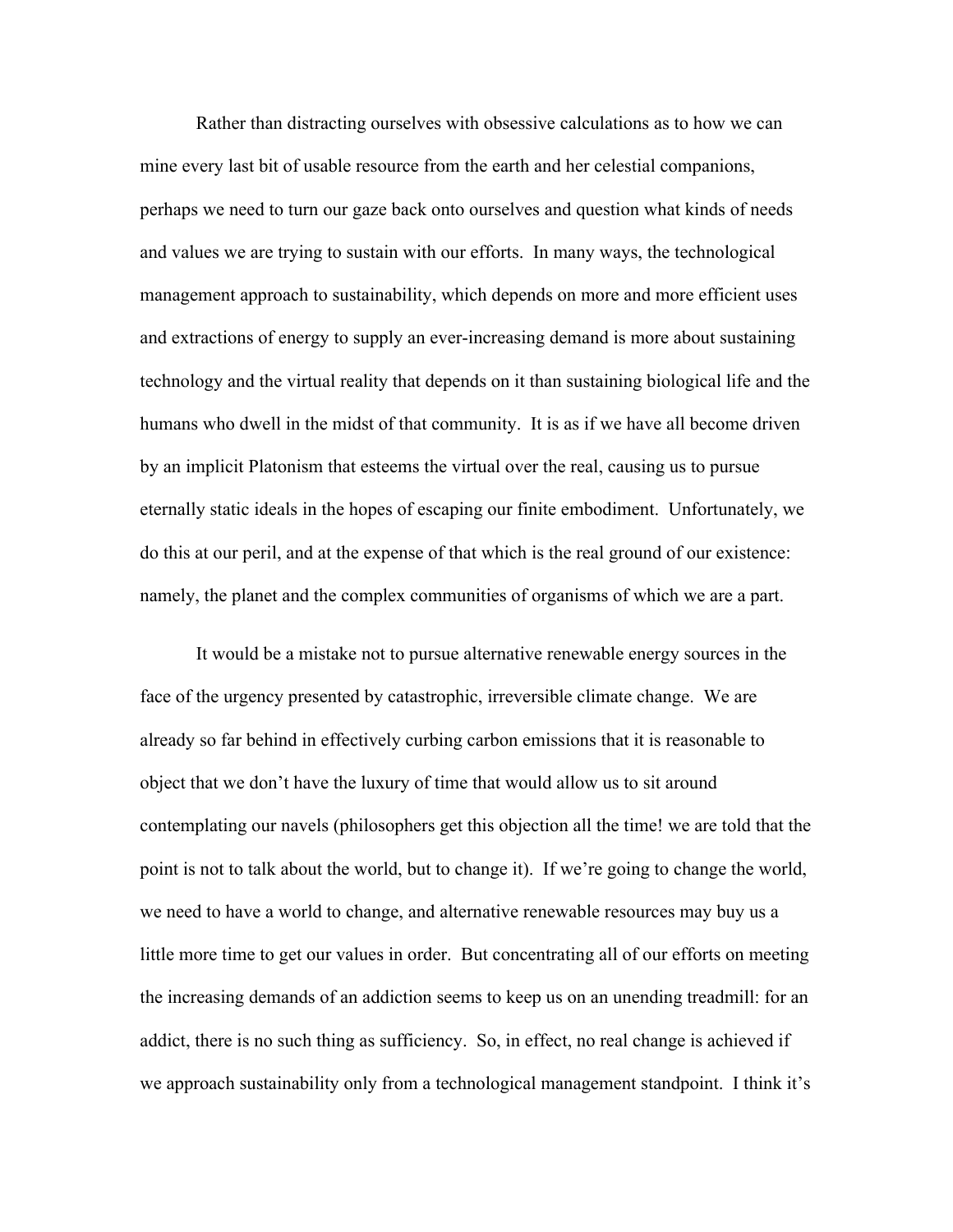Rather than distracting ourselves with obsessive calculations as to how we can mine every last bit of usable resource from the earth and her celestial companions, perhaps we need to turn our gaze back onto ourselves and question what kinds of needs and values we are trying to sustain with our efforts. In many ways, the technological management approach to sustainability, which depends on more and more efficient uses and extractions of energy to supply an ever-increasing demand is more about sustaining technology and the virtual reality that depends on it than sustaining biological life and the humans who dwell in the midst of that community. It is as if we have all become driven by an implicit Platonism that esteems the virtual over the real, causing us to pursue eternally static ideals in the hopes of escaping our finite embodiment. Unfortunately, we do this at our peril, and at the expense of that which is the real ground of our existence: namely, the planet and the complex communities of organisms of which we are a part.

It would be a mistake not to pursue alternative renewable energy sources in the face of the urgency presented by catastrophic, irreversible climate change. We are already so far behind in effectively curbing carbon emissions that it is reasonable to object that we don't have the luxury of time that would allow us to sit around contemplating our navels (philosophers get this objection all the time! we are told that the point is not to talk about the world, but to change it). If we're going to change the world, we need to have a world to change, and alternative renewable resources may buy us a little more time to get our values in order. But concentrating all of our efforts on meeting the increasing demands of an addiction seems to keep us on an unending treadmill: for an addict, there is no such thing as sufficiency. So, in effect, no real change is achieved if we approach sustainability only from a technological management standpoint. I think it's